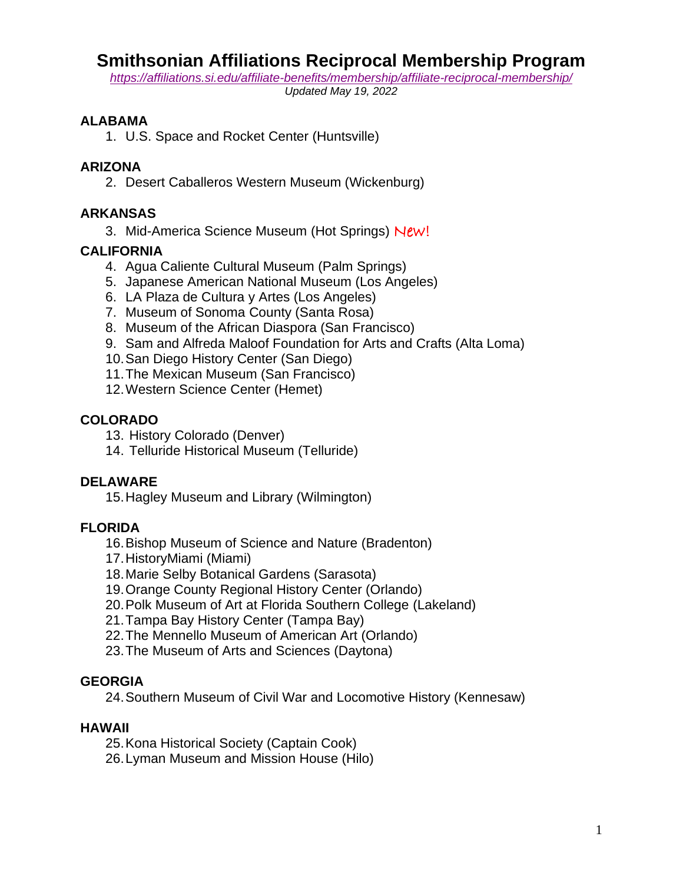# **Smithsonian Affiliations Reciprocal Membership Program**

*<https://affiliations.si.edu/affiliate-benefits/membership/affiliate-reciprocal-membership/>*

*Updated May 19, 2022*

#### **ALABAMA**

1. U.S. Space and Rocket Center (Huntsville)

#### **ARIZONA**

2. Desert Caballeros Western Museum (Wickenburg)

### **ARKANSAS**

3. Mid-America Science Museum (Hot Springs) New!

#### **CALIFORNIA**

- 4. Agua Caliente Cultural Museum (Palm Springs)
- 5. Japanese American National Museum (Los Angeles)
- 6. LA Plaza de Cultura y Artes (Los Angeles)
- 7. Museum of Sonoma County (Santa Rosa)
- 8. Museum of the African Diaspora (San Francisco)
- 9. Sam and Alfreda Maloof Foundation for Arts and Crafts (Alta Loma)
- 10.San Diego History Center (San Diego)
- 11.The Mexican Museum (San Francisco)
- 12.Western Science Center (Hemet)

## **COLORADO**

- 13. History Colorado (Denver)
- 14. Telluride Historical Museum (Telluride)

#### **DELAWARE**

15.Hagley Museum and Library (Wilmington)

#### **FLORIDA**

- 16.Bishop Museum of Science and Nature (Bradenton)
- 17.HistoryMiami (Miami)
- 18.Marie Selby Botanical Gardens (Sarasota)
- 19.Orange County Regional History Center (Orlando)
- 20.Polk Museum of Art at Florida Southern College (Lakeland)
- 21.Tampa Bay History Center (Tampa Bay)
- 22.The Mennello Museum of American Art (Orlando)
- 23.The Museum of Arts and Sciences (Daytona)

#### **GEORGIA**

24.Southern Museum of Civil War and Locomotive History (Kennesaw)

#### **HAWAII**

- 25.Kona Historical Society (Captain Cook)
- 26.Lyman Museum and Mission House (Hilo)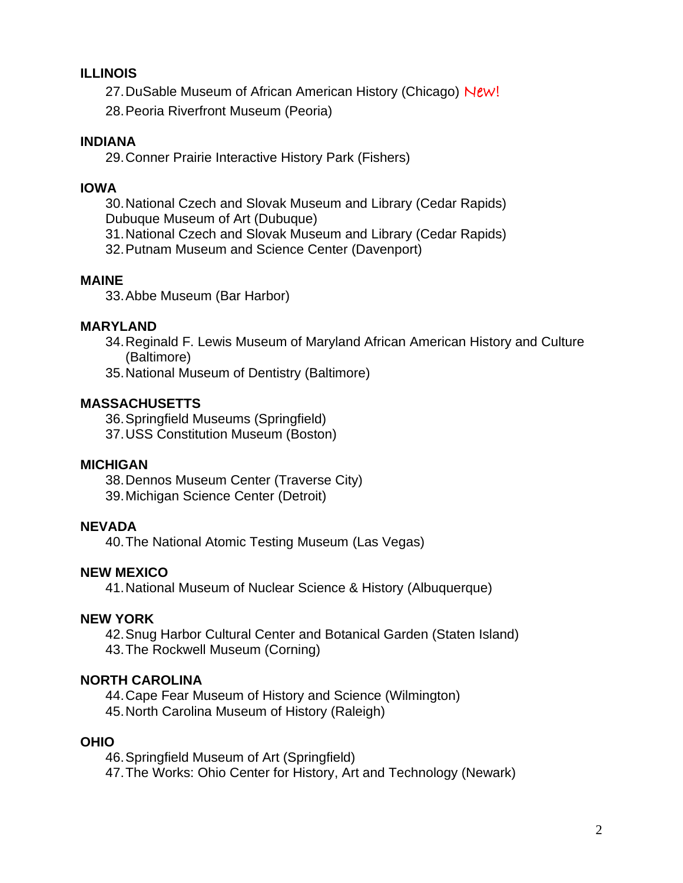### **ILLINOIS**

27. DuSable Museum of African American History (Chicago) New!

28.Peoria Riverfront Museum (Peoria)

### **INDIANA**

29.Conner Prairie Interactive History Park (Fishers)

#### **IOWA**

30.National Czech and Slovak Museum and Library (Cedar Rapids) Dubuque Museum of Art (Dubuque)

31.National Czech and Slovak Museum and Library (Cedar Rapids)

32.Putnam Museum and Science Center (Davenport)

#### **MAINE**

33.Abbe Museum (Bar Harbor)

#### **MARYLAND**

34.Reginald F. Lewis Museum of Maryland African American History and Culture (Baltimore)

35.National Museum of Dentistry (Baltimore)

## **MASSACHUSETTS**

36.Springfield Museums (Springfield)

37.USS Constitution Museum (Boston)

#### **MICHIGAN**

38.Dennos Museum Center (Traverse City) 39.Michigan Science Center (Detroit)

# **NEVADA**

40.The National Atomic Testing Museum (Las Vegas)

#### **NEW MEXICO**

41.National Museum of Nuclear Science & History (Albuquerque)

#### **NEW YORK**

42.Snug Harbor Cultural Center and Botanical Garden (Staten Island)

43.The Rockwell Museum (Corning)

# **NORTH CAROLINA**

44.Cape Fear Museum of History and Science (Wilmington)

45.North Carolina Museum of History (Raleigh)

#### **OHIO**

46.Springfield Museum of Art (Springfield) 47.The Works: Ohio Center for History, Art and Technology (Newark)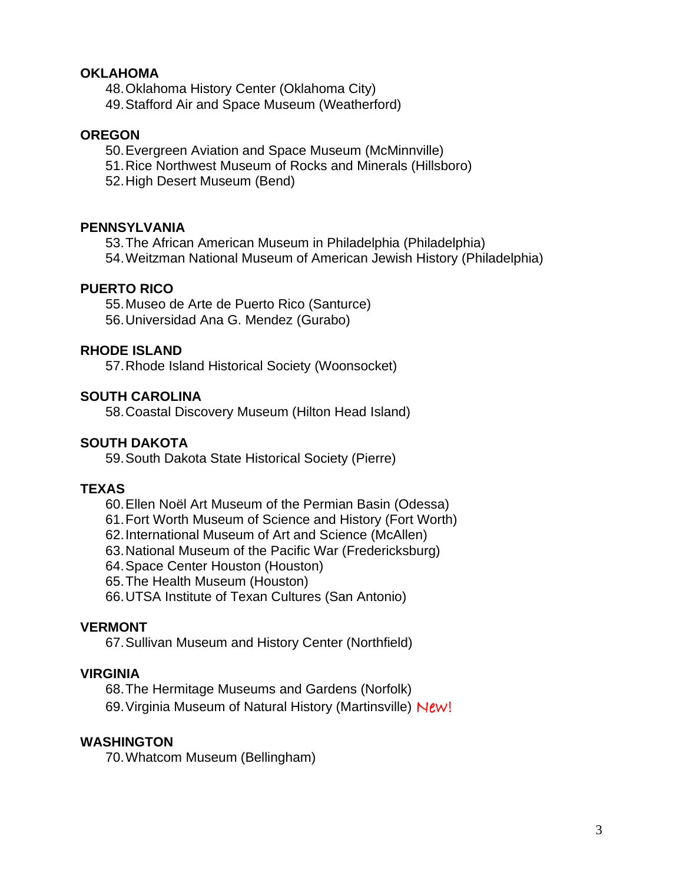#### **OKLAHOMA**

48.Oklahoma History Center (Oklahoma City)

49.Stafford Air and Space Museum (Weatherford)

#### **OREGON**

50.Evergreen Aviation and Space Museum (McMinnville)

51.Rice Northwest Museum of Rocks and Minerals (Hillsboro)

52.High Desert Museum (Bend)

#### **PENNSYLVANIA**

53.The African American Museum in Philadelphia (Philadelphia) 54.Weitzman National Museum of American Jewish History (Philadelphia)

#### **PUERTO RICO**

55.Museo de Arte de Puerto Rico (Santurce)

56.Universidad Ana G. Mendez (Gurabo)

#### **RHODE ISLAND**

57.Rhode Island Historical Society (Woonsocket)

#### **SOUTH CAROLINA**

58.Coastal Discovery Museum (Hilton Head Island)

#### **SOUTH DAKOTA**

59.South Dakota State Historical Society (Pierre)

#### **TEXAS**

- 60.Ellen Noël Art Museum of the Permian Basin (Odessa)
- 61.Fort Worth Museum of Science and History (Fort Worth)
- 62.International Museum of Art and Science (McAllen)
- 63.National Museum of the Pacific War (Fredericksburg)
- 64.Space Center Houston (Houston)
- 65.The Health Museum (Houston)

66.UTSA Institute of Texan Cultures (San Antonio)

#### **VERMONT**

67.Sullivan Museum and History Center (Northfield)

#### **VIRGINIA**

68.The Hermitage Museums and Gardens (Norfolk)

69.Virginia Museum of Natural History (Martinsville) New!

#### **WASHINGTON**

70.Whatcom Museum (Bellingham)